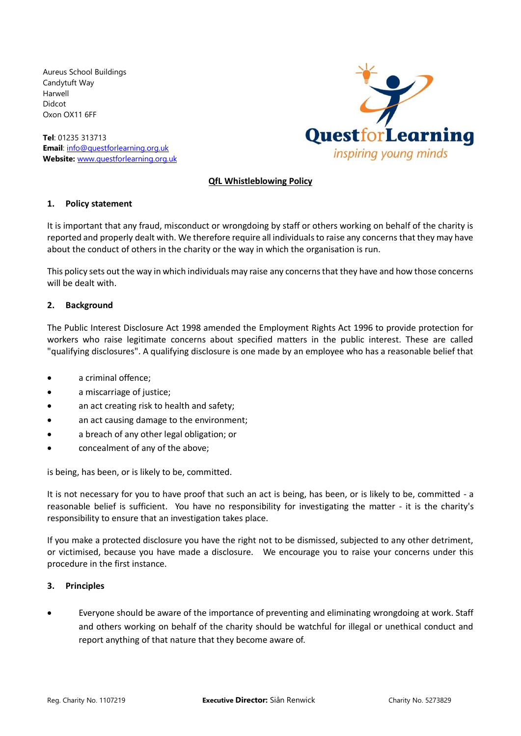Aureus School Buildings Candytuft Way Harwell Didcot Oxon OX11 6FF

**Tel**: 01235 313713 **Email**: [info@questforlearning.org.uk](mailto:info@questforlearning.org.uk) **Website:** [www.questforlearning.org.uk](http://www.questforlearning.org.uk/)



# **QfL Whistleblowing Policy**

#### **1. Policy statement**

It is important that any fraud, misconduct or wrongdoing by staff or others working on behalf of the charity is reported and properly dealt with. We therefore require all individuals to raise any concerns that they may have about the conduct of others in the charity or the way in which the organisation is run.

This policy sets out the way in which individuals may raise any concerns that they have and how those concerns will be dealt with.

## **2. Background**

The Public Interest Disclosure Act 1998 amended the Employment Rights Act 1996 to provide protection for workers who raise legitimate concerns about specified matters in the public interest. These are called "qualifying disclosures". A qualifying disclosure is one made by an employee who has a reasonable belief that

- a criminal offence;
- a miscarriage of justice;
- an act creating risk to health and safety;
- an act causing damage to the environment;
- a breach of any other legal obligation; or
- concealment of any of the above;

is being, has been, or is likely to be, committed.

It is not necessary for you to have proof that such an act is being, has been, or is likely to be, committed - a reasonable belief is sufficient. You have no responsibility for investigating the matter - it is the charity's responsibility to ensure that an investigation takes place.

If you make a protected disclosure you have the right not to be dismissed, subjected to any other detriment, or victimised, because you have made a disclosure. We encourage you to raise your concerns under this procedure in the first instance.

#### **3. Principles**

• Everyone should be aware of the importance of preventing and eliminating wrongdoing at work. Staff and others working on behalf of the charity should be watchful for illegal or unethical conduct and report anything of that nature that they become aware of.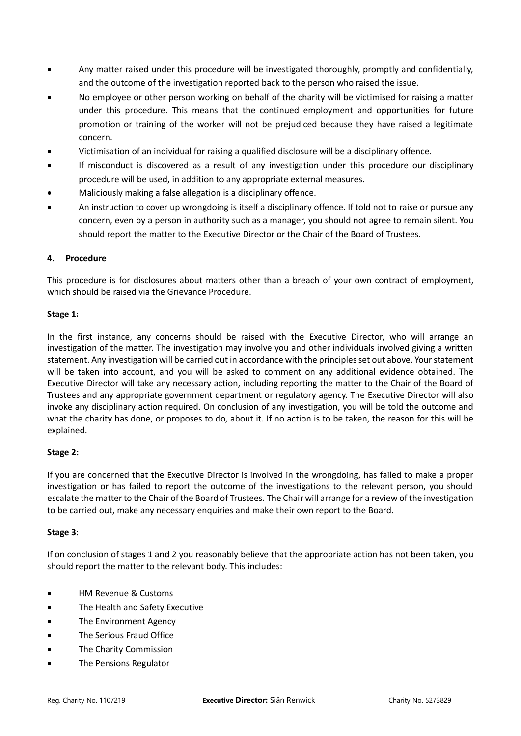- Any matter raised under this procedure will be investigated thoroughly, promptly and confidentially, and the outcome of the investigation reported back to the person who raised the issue.
- No employee or other person working on behalf of the charity will be victimised for raising a matter under this procedure. This means that the continued employment and opportunities for future promotion or training of the worker will not be prejudiced because they have raised a legitimate concern.
- Victimisation of an individual for raising a qualified disclosure will be a disciplinary offence.
- If misconduct is discovered as a result of any investigation under this procedure our disciplinary procedure will be used, in addition to any appropriate external measures.
- Maliciously making a false allegation is a disciplinary offence.
- An instruction to cover up wrongdoing is itself a disciplinary offence. If told not to raise or pursue any concern, even by a person in authority such as a manager, you should not agree to remain silent. You should report the matter to the Executive Director or the Chair of the Board of Trustees.

## **4. Procedure**

This procedure is for disclosures about matters other than a breach of your own contract of employment, which should be raised via the Grievance Procedure.

#### **Stage 1:**

In the first instance, any concerns should be raised with the Executive Director, who will arrange an investigation of the matter. The investigation may involve you and other individuals involved giving a written statement. Any investigation will be carried out in accordance with the principles set out above. Your statement will be taken into account, and you will be asked to comment on any additional evidence obtained. The Executive Director will take any necessary action, including reporting the matter to the Chair of the Board of Trustees and any appropriate government department or regulatory agency. The Executive Director will also invoke any disciplinary action required. On conclusion of any investigation, you will be told the outcome and what the charity has done, or proposes to do, about it. If no action is to be taken, the reason for this will be explained.

## **Stage 2:**

If you are concerned that the Executive Director is involved in the wrongdoing, has failed to make a proper investigation or has failed to report the outcome of the investigations to the relevant person, you should escalate the matter to the Chair of the Board of Trustees. The Chair will arrange for a review of the investigation to be carried out, make any necessary enquiries and make their own report to the Board.

## **Stage 3:**

If on conclusion of stages 1 and 2 you reasonably believe that the appropriate action has not been taken, you should report the matter to the relevant body. This includes:

- HM Revenue & Customs
- The Health and Safety Executive
- The Environment Agency
- The Serious Fraud Office
- The Charity Commission
- The Pensions Regulator